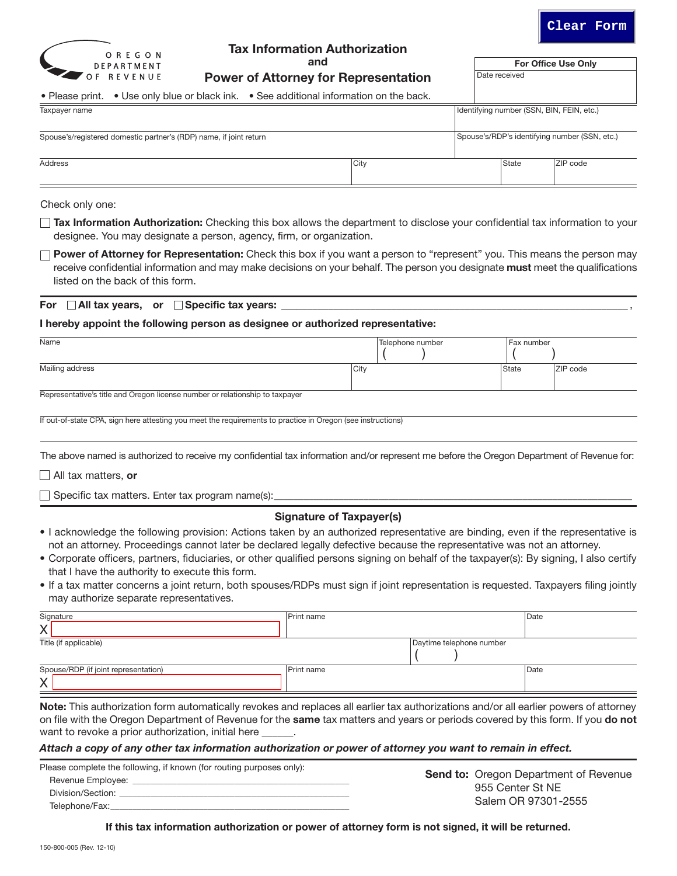



# Tax Information Authorization

and

Power of Attorney for Representation

For Office Use Only Date received

| • Please print. • Use only blue or black ink. • See additional information on the back. |      |  |                                           |                                               |
|-----------------------------------------------------------------------------------------|------|--|-------------------------------------------|-----------------------------------------------|
| Taxpayer name                                                                           |      |  | Identifying number (SSN, BIN, FEIN, etc.) |                                               |
| Spouse's/registered domestic partner's (RDP) name, if joint return                      |      |  |                                           | Spouse's/RDP's identifying number (SSN, etc.) |
| Address                                                                                 | City |  | <b>State</b>                              | ZIP code                                      |

Check only one:

- Tax Information Authorization: Checking this box allows the department to disclose your confidential tax information to your designee. You may designate a person, agency, firm, or organization.
- $\Box$  Power of Attorney for Representation: Check this box if you want a person to "represent" you. This means the person may receive confidential information and may make decisions on your behalf. The person you designate must meet the qualifications listed on the back of this form.

For  $\Box$  All tax years, or  $\Box$  Specific tax years:  $\Box$ 

#### I hereby appoint the following person as designee or authorized representative:

| Name                                                                                                        |      | Telephone number |  |  | Fax number   |          |
|-------------------------------------------------------------------------------------------------------------|------|------------------|--|--|--------------|----------|
| Mailing address                                                                                             | City |                  |  |  | <b>State</b> | ZIP code |
| Representative's title and Oregon license number or relationship to taxpayer                                |      |                  |  |  |              |          |
| If out-of-state CPA, sign here attesting you meet the requirements to practice in Oregon (see instructions) |      |                  |  |  |              |          |

The above named is authorized to receive my confidential tax information and/or represent me before the Oregon Department of Revenue for:

 $\Box$  All tax matters, or

 $\Box$  Specific tax matters. Enter tax program name(s):

## Signature of Taxpayer(s)

- I acknowledge the following provision: Actions taken by an authorized representative are binding, even if the representative is not an attorney. Proceedings cannot later be declared legally defective because the representative was not an attorney.
- Corporate officers, partners, fiduciaries, or other qualified persons signing on behalf of the taxpayer(s): By signing, I also certify that I have the authority to execute this form.
- If a tax matter concerns a joint return, both spouses/RDPs must sign if joint representation is requested. Taxpayers filing jointly may authorize separate representatives.

| Signature                                                                                                                             | Print name |                          | Date |
|---------------------------------------------------------------------------------------------------------------------------------------|------------|--------------------------|------|
|                                                                                                                                       |            |                          |      |
| Title (if applicable)                                                                                                                 |            | Daytime telephone number |      |
|                                                                                                                                       |            |                          |      |
| Spouse/RDP (if joint representation)                                                                                                  | Print name |                          | Date |
|                                                                                                                                       |            |                          |      |
| Note: This authorization form automatically revokes and replaces all earlier tax authorizations and/or all earlier powers of attorney |            |                          |      |

on file with the Oregon Department of Revenue for the same tax matters and years or periods covered by this form. If you do not want to revoke a prior authorization, initial here

#### *Attach a copy of any other tax information authorization or power of attorney you want to remain in effect.*

| Please complete the following, if known (for routing purposes only): |                                              |
|----------------------------------------------------------------------|----------------------------------------------|
| Revenue Employee:                                                    | <b>Send to: Oregon Department of Revenue</b> |
| Division/Section:                                                    | 955 Center St NE                             |
| Telephone/Fax:                                                       | Salem OR 97301-2555                          |

If this tax information authorization or power of attorney form is not signed, it will be returned.